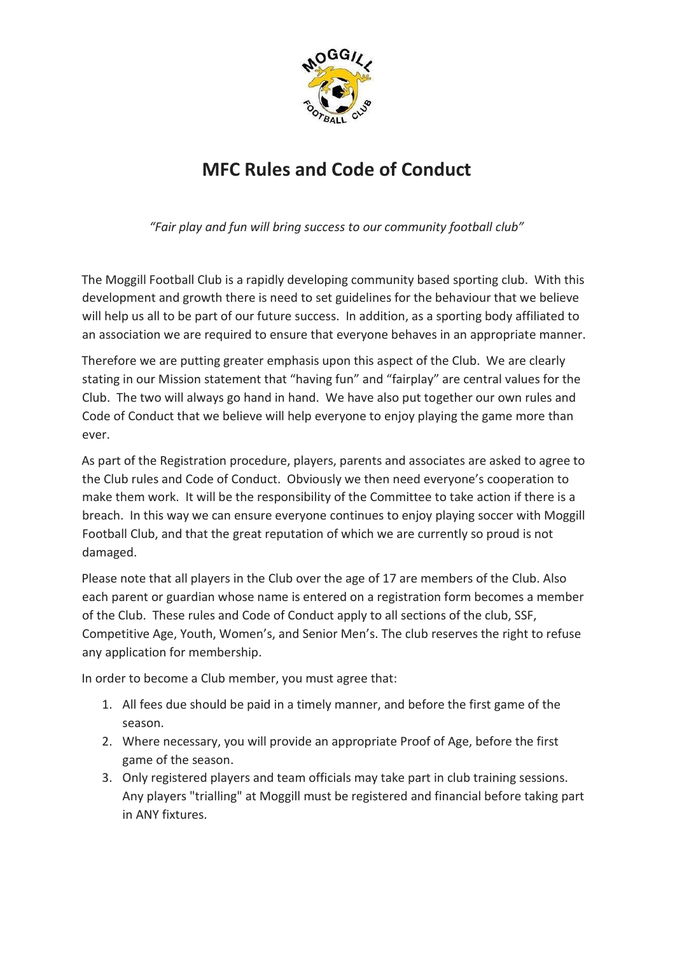

# **MFC Rules and Code of Conduct**

*"Fair play and fun will bring success to our community football club"*

The Moggill Football Club is a rapidly developing community based sporting club. With this development and growth there is need to set guidelines for the behaviour that we believe will help us all to be part of our future success. In addition, as a sporting body affiliated to an association we are required to ensure that everyone behaves in an appropriate manner.

Therefore we are putting greater emphasis upon this aspect of the Club. We are clearly stating in our Mission statement that "having fun" and "fairplay" are central values for the Club. The two will always go hand in hand. We have also put together our own rules and Code of Conduct that we believe will help everyone to enjoy playing the game more than ever.

As part of the Registration procedure, players, parents and associates are asked to agree to the Club rules and Code of Conduct. Obviously we then need everyone's cooperation to make them work. It will be the responsibility of the Committee to take action if there is a breach. In this way we can ensure everyone continues to enjoy playing soccer with Moggill Football Club, and that the great reputation of which we are currently so proud is not damaged.

Please note that all players in the Club over the age of 17 are members of the Club. Also each parent or guardian whose name is entered on a registration form becomes a member of the Club. These rules and Code of Conduct apply to all sections of the club, SSF, Competitive Age, Youth, Women's, and Senior Men's. The club reserves the right to refuse any application for membership.

In order to become a Club member, you must agree that:

- 1. All fees due should be paid in a timely manner, and before the first game of the season.
- 2. Where necessary, you will provide an appropriate Proof of Age, before the first game of the season.
- 3. Only registered players and team officials may take part in club training sessions. Any players "trialling" at Moggill must be registered and financial before taking part in ANY fixtures.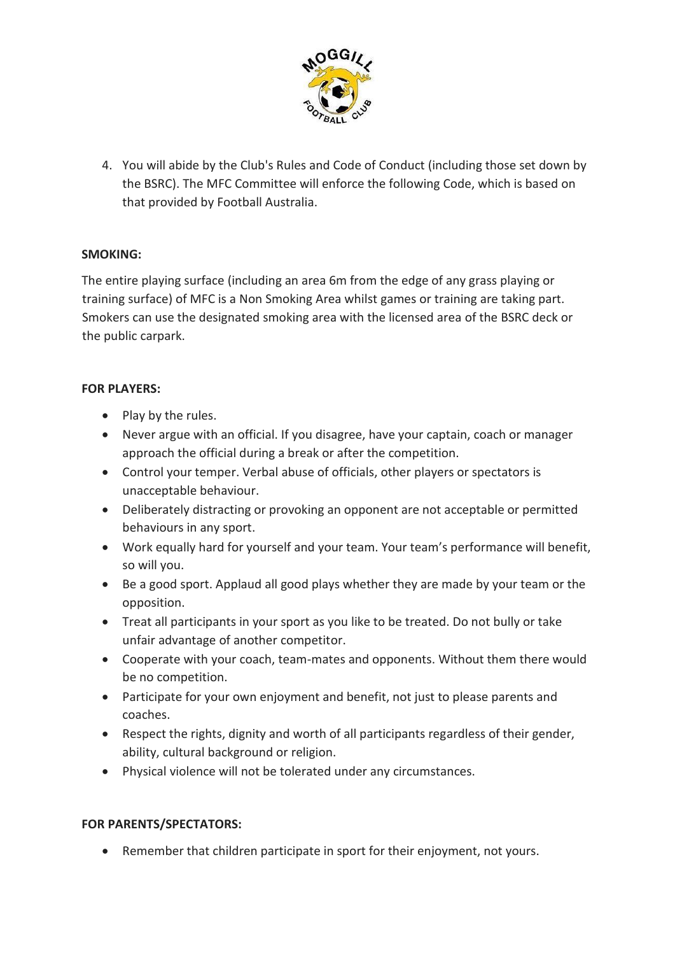

4. You will abide by the Club's Rules and Code of Conduct (including those set down by the BSRC). The MFC Committee will enforce the following Code, which is based on that provided by Football Australia.

### **SMOKING:**

The entire playing surface (including an area 6m from the edge of any grass playing or training surface) of MFC is a Non Smoking Area whilst games or training are taking part. Smokers can use the designated smoking area with the licensed area of the BSRC deck or the public carpark.

### **FOR PLAYERS:**

- Play by the rules.
- Never argue with an official. If you disagree, have your captain, coach or manager approach the official during a break or after the competition.
- Control your temper. Verbal abuse of officials, other players or spectators is unacceptable behaviour.
- Deliberately distracting or provoking an opponent are not acceptable or permitted behaviours in any sport.
- Work equally hard for yourself and your team. Your team's performance will benefit, so will you.
- Be a good sport. Applaud all good plays whether they are made by your team or the opposition.
- Treat all participants in your sport as you like to be treated. Do not bully or take unfair advantage of another competitor.
- Cooperate with your coach, team-mates and opponents. Without them there would be no competition.
- Participate for your own enjoyment and benefit, not just to please parents and coaches.
- Respect the rights, dignity and worth of all participants regardless of their gender, ability, cultural background or religion.
- Physical violence will not be tolerated under any circumstances.

### **FOR PARENTS/SPECTATORS:**

• Remember that children participate in sport for their enjoyment, not yours.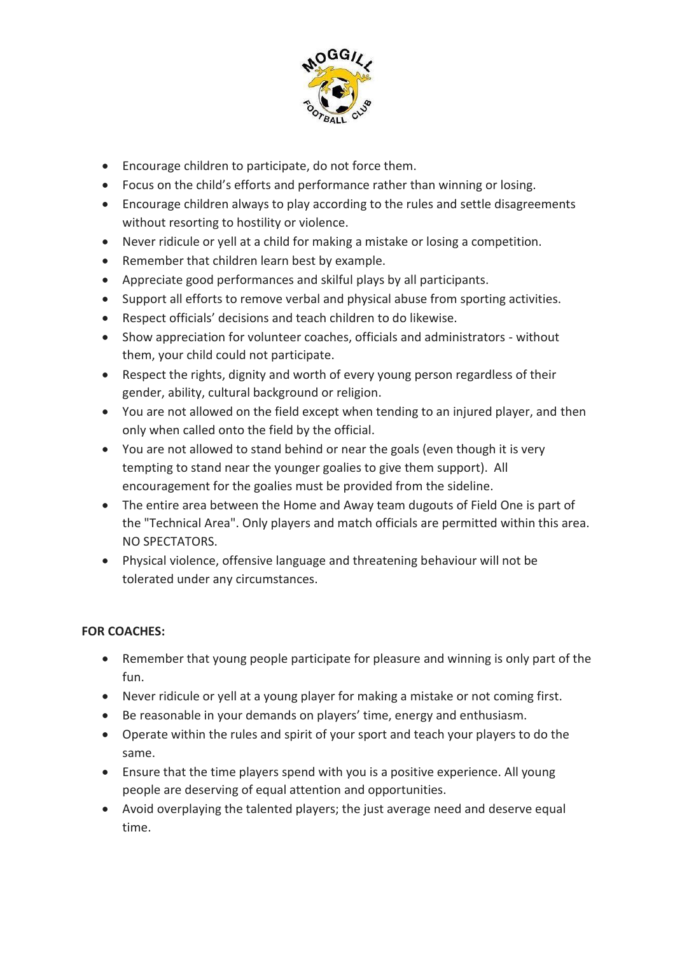

- Encourage children to participate, do not force them.
- Focus on the child's efforts and performance rather than winning or losing.
- Encourage children always to play according to the rules and settle disagreements without resorting to hostility or violence.
- Never ridicule or yell at a child for making a mistake or losing a competition.
- Remember that children learn best by example.
- Appreciate good performances and skilful plays by all participants.
- Support all efforts to remove verbal and physical abuse from sporting activities.
- Respect officials' decisions and teach children to do likewise.
- Show appreciation for volunteer coaches, officials and administrators without them, your child could not participate.
- Respect the rights, dignity and worth of every young person regardless of their gender, ability, cultural background or religion.
- You are not allowed on the field except when tending to an injured player, and then only when called onto the field by the official.
- You are not allowed to stand behind or near the goals (even though it is very tempting to stand near the younger goalies to give them support). All encouragement for the goalies must be provided from the sideline.
- The entire area between the Home and Away team dugouts of Field One is part of the "Technical Area". Only players and match officials are permitted within this area. NO SPECTATORS.
- Physical violence, offensive language and threatening behaviour will not be tolerated under any circumstances.

# **FOR COACHES:**

- Remember that young people participate for pleasure and winning is only part of the fun.
- Never ridicule or yell at a young player for making a mistake or not coming first.
- Be reasonable in your demands on players' time, energy and enthusiasm.
- Operate within the rules and spirit of your sport and teach your players to do the same.
- Ensure that the time players spend with you is a positive experience. All young people are deserving of equal attention and opportunities.
- Avoid overplaying the talented players; the just average need and deserve equal time.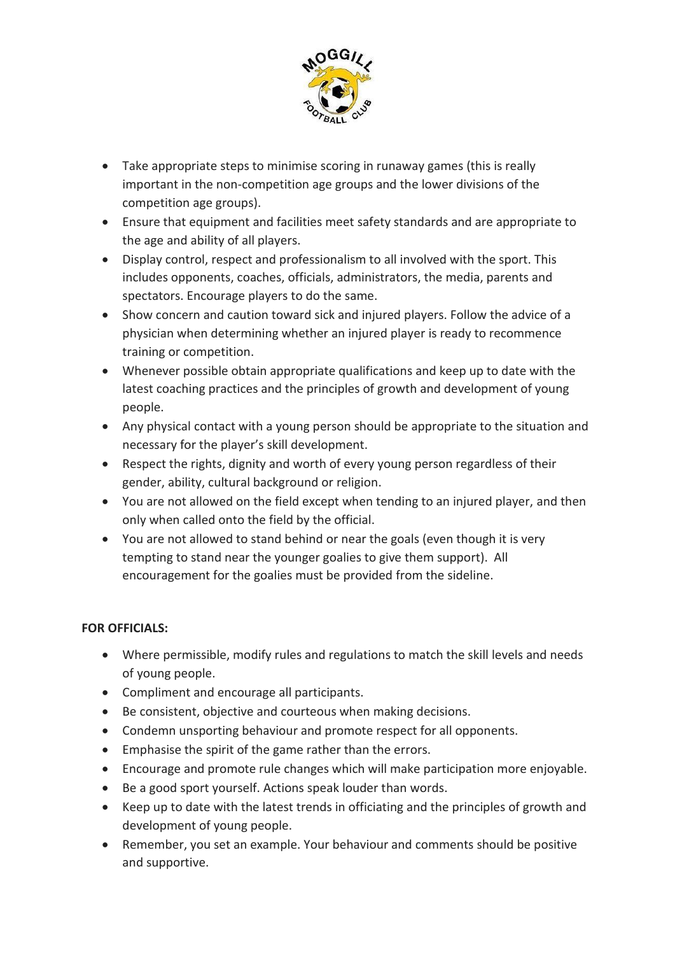

- Take appropriate steps to minimise scoring in runaway games (this is really important in the non-competition age groups and the lower divisions of the competition age groups).
- Ensure that equipment and facilities meet safety standards and are appropriate to the age and ability of all players.
- Display control, respect and professionalism to all involved with the sport. This includes opponents, coaches, officials, administrators, the media, parents and spectators. Encourage players to do the same.
- Show concern and caution toward sick and injured players. Follow the advice of a physician when determining whether an injured player is ready to recommence training or competition.
- Whenever possible obtain appropriate qualifications and keep up to date with the latest coaching practices and the principles of growth and development of young people.
- Any physical contact with a young person should be appropriate to the situation and necessary for the player's skill development.
- Respect the rights, dignity and worth of every young person regardless of their gender, ability, cultural background or religion.
- You are not allowed on the field except when tending to an injured player, and then only when called onto the field by the official.
- You are not allowed to stand behind or near the goals (even though it is very tempting to stand near the younger goalies to give them support). All encouragement for the goalies must be provided from the sideline.

# **FOR OFFICIALS:**

- Where permissible, modify rules and regulations to match the skill levels and needs of young people.
- Compliment and encourage all participants.
- Be consistent, objective and courteous when making decisions.
- Condemn unsporting behaviour and promote respect for all opponents.
- Emphasise the spirit of the game rather than the errors.
- Encourage and promote rule changes which will make participation more enjoyable.
- Be a good sport yourself. Actions speak louder than words.
- Keep up to date with the latest trends in officiating and the principles of growth and development of young people.
- Remember, you set an example. Your behaviour and comments should be positive and supportive.